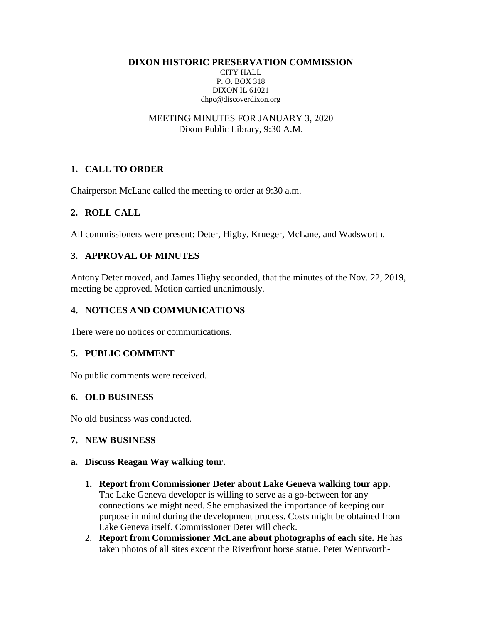**DIXON HISTORIC PRESERVATION COMMISSION** CITY HALL P. O. BOX 318 DIXON IL 61021 dhpc@discoverdixon.org

#### MEETING MINUTES FOR JANUARY 3, 2020 Dixon Public Library, 9:30 A.M.

## **1. CALL TO ORDER**

Chairperson McLane called the meeting to order at 9:30 a.m.

## **2. ROLL CALL**

All commissioners were present: Deter, Higby, Krueger, McLane, and Wadsworth.

## **3. APPROVAL OF MINUTES**

Antony Deter moved, and James Higby seconded, that the minutes of the Nov. 22, 2019, meeting be approved. Motion carried unanimously.

## **4. NOTICES AND COMMUNICATIONS**

There were no notices or communications.

### **5. PUBLIC COMMENT**

No public comments were received.

### **6. OLD BUSINESS**

No old business was conducted.

### **7. NEW BUSINESS**

### **a. Discuss Reagan Way walking tour.**

- **1. Report from Commissioner Deter about Lake Geneva walking tour app.** The Lake Geneva developer is willing to serve as a go-between for any connections we might need. She emphasized the importance of keeping our purpose in mind during the development process. Costs might be obtained from Lake Geneva itself. Commissioner Deter will check.
- 2. **Report from Commissioner McLane about photographs of each site.** He has taken photos of all sites except the Riverfront horse statue. Peter Wentworth-